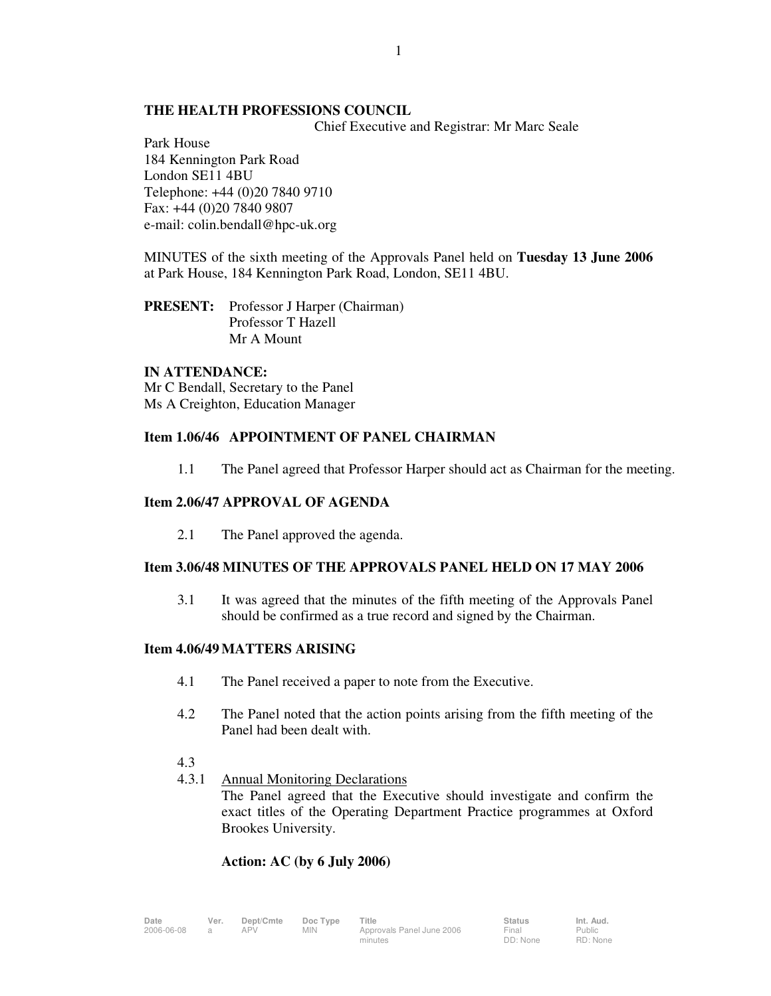# **THE HEALTH PROFESSIONS COUNCIL**

Chief Executive and Registrar: Mr Marc Seale

Park House 184 Kennington Park Road London SE11 4BU Telephone: +44 (0)20 7840 9710 Fax: +44 (0)20 7840 9807 e-mail: colin.bendall@hpc-uk.org

MINUTES of the sixth meeting of the Approvals Panel held on **Tuesday 13 June 2006** at Park House, 184 Kennington Park Road, London, SE11 4BU.

**PRESENT:** Professor J Harper (Chairman) Professor T Hazell Mr A Mount

# **IN ATTENDANCE:**

Mr C Bendall, Secretary to the Panel Ms A Creighton, Education Manager

# **Item 1.06/46 APPOINTMENT OF PANEL CHAIRMAN**

1.1 The Panel agreed that Professor Harper should act as Chairman for the meeting.

# **Item 2.06/47 APPROVAL OF AGENDA**

2.1 The Panel approved the agenda.

# **Item 3.06/48 MINUTES OF THE APPROVALS PANEL HELD ON 17 MAY 2006**

 3.1 It was agreed that the minutes of the fifth meeting of the Approvals Panel should be confirmed as a true record and signed by the Chairman.

# **Item 4.06/49 MATTERS ARISING**

- 4.1 The Panel received a paper to note from the Executive.
- 4.2 The Panel noted that the action points arising from the fifth meeting of the Panel had been dealt with.
- 4.3
- 4.3.1 Annual Monitoring Declarations

 The Panel agreed that the Executive should investigate and confirm the exact titles of the Operating Department Practice programmes at Oxford Brookes University.

# **Action: AC (by 6 July 2006)**

**Date Ver. Dept/Cmte Doc Type Title Status Int. Aud.** 2006-06-08 a APV MIN Approvals Panel June 2006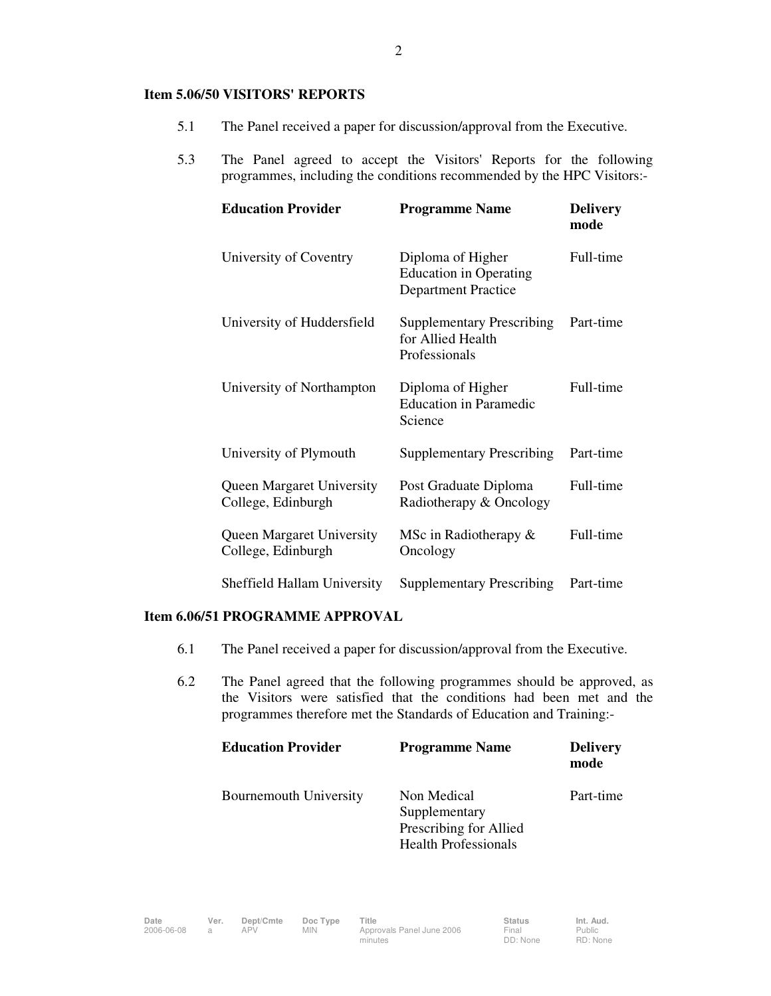#### **Item 5.06/50 VISITORS' REPORTS**

- 5.1 The Panel received a paper for discussion/approval from the Executive.
- 5.3 The Panel agreed to accept the Visitors' Reports for the following programmes, including the conditions recommended by the HPC Visitors:-

| <b>Education Provider</b>                              | <b>Programme Name</b>                                                            | <b>Delivery</b><br>mode |
|--------------------------------------------------------|----------------------------------------------------------------------------------|-------------------------|
| University of Coventry                                 | Diploma of Higher<br><b>Education in Operating</b><br><b>Department Practice</b> | Full-time               |
| University of Huddersfield                             | <b>Supplementary Prescribing</b><br>for Allied Health<br>Professionals           | Part-time               |
| University of Northampton                              | Diploma of Higher<br><b>Education in Paramedic</b><br>Science                    | Full-time               |
| University of Plymouth                                 | <b>Supplementary Prescribing</b>                                                 | Part-time               |
| <b>Queen Margaret University</b><br>College, Edinburgh | Post Graduate Diploma<br>Radiotherapy & Oncology                                 | Full-time               |
| <b>Queen Margaret University</b><br>College, Edinburgh | MSc in Radiotherapy $\&$<br>Oncology                                             | Full-time               |
| Sheffield Hallam University                            | <b>Supplementary Prescribing</b>                                                 | Part-time               |

# **Item 6.06/51 PROGRAMME APPROVAL**

- 6.1 The Panel received a paper for discussion/approval from the Executive.
- 6.2 The Panel agreed that the following programmes should be approved, as the Visitors were satisfied that the conditions had been met and the programmes therefore met the Standards of Education and Training:-

| <b>Education Provider</b>     | <b>Programme Name</b>       | <b>Delivery</b><br>mode |
|-------------------------------|-----------------------------|-------------------------|
| <b>Bournemouth University</b> | Non Medical                 | Part-time               |
|                               | Supplementary               |                         |
|                               | Prescribing for Allied      |                         |
|                               | <b>Health Professionals</b> |                         |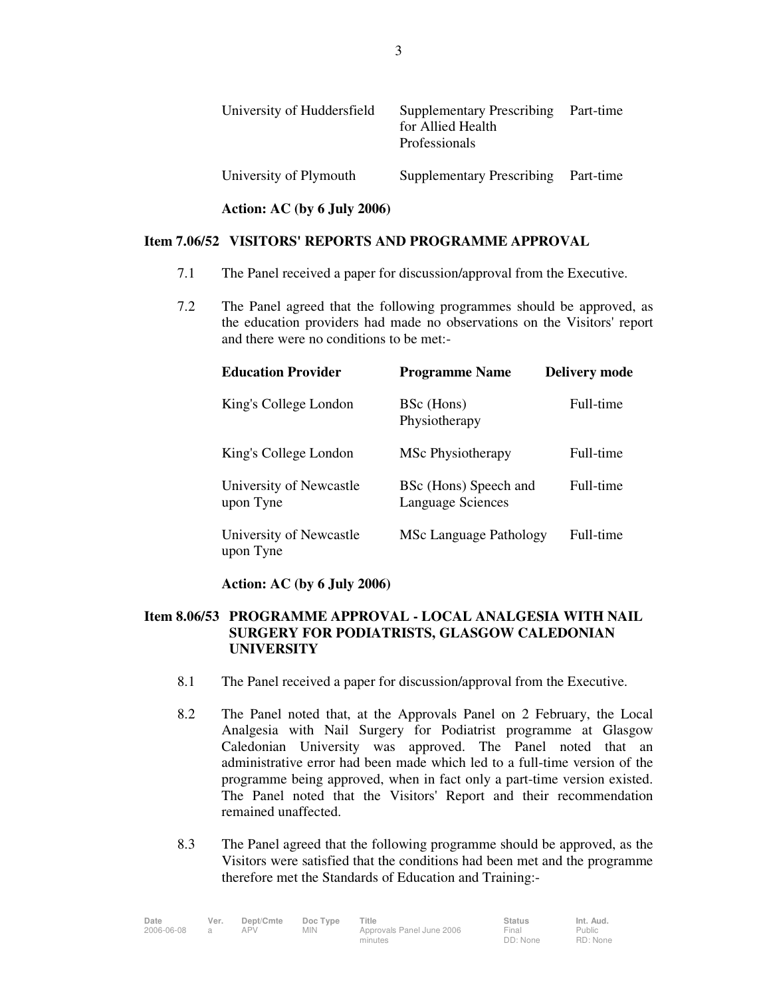| University of Huddersfield | <b>Supplementary Prescribing</b><br>for Allied Health<br>Professionals | Part-time |
|----------------------------|------------------------------------------------------------------------|-----------|
| University of Plymouth     | Supplementary Prescribing Part-time                                    |           |

### **Item 7.06/52 VISITORS' REPORTS AND PROGRAMME APPROVAL**

**Action: AC (by 6 July 2006)** 

- 7.1 The Panel received a paper for discussion/approval from the Executive.
- 7.2 The Panel agreed that the following programmes should be approved, as the education providers had made no observations on the Visitors' report and there were no conditions to be met:-

| <b>Education Provider</b>            | <b>Programme Name</b>                             | <b>Delivery mode</b> |
|--------------------------------------|---------------------------------------------------|----------------------|
| King's College London                | BSc (Hons)<br>Physiotherapy                       | Full-time            |
| King's College London                | MSc Physiotherapy                                 | Full-time            |
| University of Newcastle<br>upon Tyne | BSc (Hons) Speech and<br><b>Language Sciences</b> | Full-time            |
| University of Newcastle<br>upon Tyne | <b>MSc Language Pathology</b>                     | Full-time            |

# **Action: AC (by 6 July 2006)**

# **Item 8.06/53 PROGRAMME APPROVAL - LOCAL ANALGESIA WITH NAIL SURGERY FOR PODIATRISTS, GLASGOW CALEDONIAN UNIVERSITY**

- 8.1 The Panel received a paper for discussion/approval from the Executive.
- 8.2 The Panel noted that, at the Approvals Panel on 2 February, the Local Analgesia with Nail Surgery for Podiatrist programme at Glasgow Caledonian University was approved. The Panel noted that an administrative error had been made which led to a full-time version of the programme being approved, when in fact only a part-time version existed. The Panel noted that the Visitors' Report and their recommendation remained unaffected.
- 8.3 The Panel agreed that the following programme should be approved, as the Visitors were satisfied that the conditions had been met and the programme therefore met the Standards of Education and Training:-

| Date       | Ver. | Dept/Cmte | Doc Type   | Title                     | <b>Status</b> | Int. Aud. |
|------------|------|-----------|------------|---------------------------|---------------|-----------|
| 2006-06-08 |      | APV       | <b>MIN</b> | Approvals Panel June 2006 | Final         | Public    |
|            |      |           |            | minutes                   | DD: None      | RD: None  |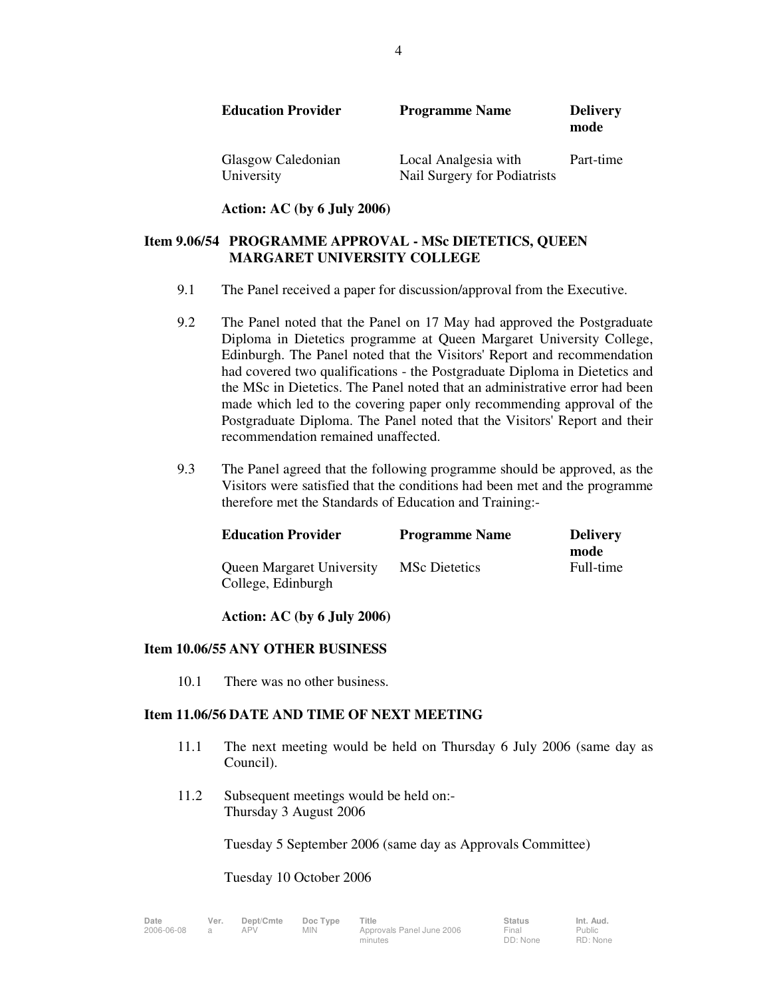| <b>Education Provider</b>        | <b>Programme Name</b>                                | <b>Delivery</b><br>mode |
|----------------------------------|------------------------------------------------------|-------------------------|
| Glasgow Caledonian<br>University | Local Analgesia with<br>Nail Surgery for Podiatrists | Part-time               |

 **Action: AC (by 6 July 2006)** 

# **Item 9.06/54 PROGRAMME APPROVAL - MSc DIETETICS, QUEEN MARGARET UNIVERSITY COLLEGE**

- 9.1 The Panel received a paper for discussion/approval from the Executive.
- 9.2 The Panel noted that the Panel on 17 May had approved the Postgraduate Diploma in Dietetics programme at Queen Margaret University College, Edinburgh. The Panel noted that the Visitors' Report and recommendation had covered two qualifications - the Postgraduate Diploma in Dietetics and the MSc in Dietetics. The Panel noted that an administrative error had been made which led to the covering paper only recommending approval of the Postgraduate Diploma. The Panel noted that the Visitors' Report and their recommendation remained unaffected.
- 9.3 The Panel agreed that the following programme should be approved, as the Visitors were satisfied that the conditions had been met and the programme therefore met the Standards of Education and Training:-

| <b>Education Provider</b>                              | <b>Programme Name</b> | <b>Delivery</b><br>mode |
|--------------------------------------------------------|-----------------------|-------------------------|
| <b>Queen Margaret University</b><br>College, Edinburgh | <b>MSc Dietetics</b>  | Full-time               |

# **Action: AC (by 6 July 2006)**

# **Item 10.06/55 ANY OTHER BUSINESS**

10.1 There was no other business.

# **Item 11.06/56 DATE AND TIME OF NEXT MEETING**

- 11.1 The next meeting would be held on Thursday 6 July 2006 (same day as Council).
- 11.2 Subsequent meetings would be held on:- Thursday 3 August 2006

Tuesday 5 September 2006 (same day as Approvals Committee)

Tuesday 10 October 2006

| ate       | Ver. |
|-----------|------|
| 006-06-08 | a    |